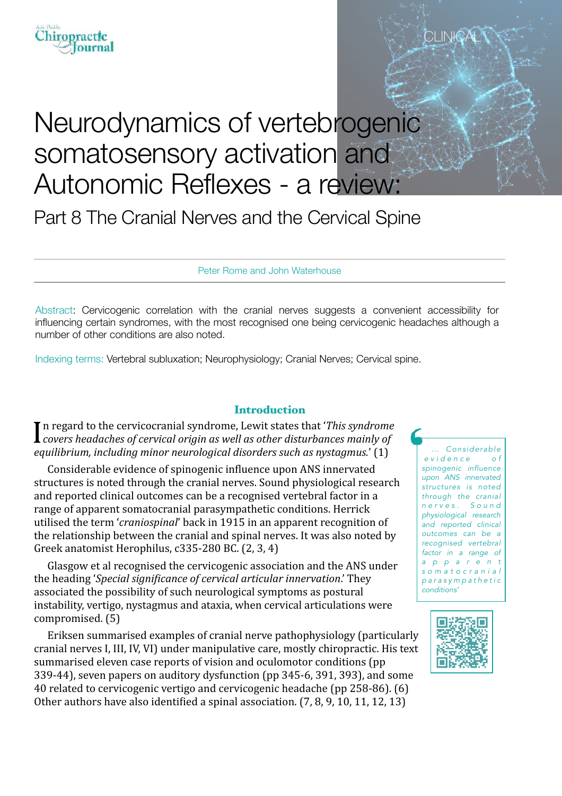# *iropractic* ournal

# Neurodynamics of vertebrogenic somatosensory activation and Autonomic Reflexes - a review:

Part 8 The Cranial Nerves and the Cervical Spine

Peter Rome and John Waterhouse

Abstract: Cervicogenic correlation with the cranial nerves suggests a convenient accessibility for influencing certain syndromes, with the most recognised one being cervicogenic headaches although a number of other conditions are also noted.

Indexing terms: Vertebral subluxation; Neurophysiology; Cranial Nerves; Cervical spine.

#### **Introduction**

In regard to the cervicocranial syndrome, Lewit states that 'This syndrome<br>
covers headaches of cervical origin as well as other disturbances mainly of I n regard to the cervicocranial syndrome, Lewit states that *'This syndrome equilibrium, including minor neurological disorders such as nystagmus.'* (1)

Considerable evidence of spinogenic influence upon ANS innervated structures is noted through the cranial nerves. Sound physiological research and reported clinical outcomes can be a recognised vertebral factor in a range of apparent somatocranial parasympathetic conditions. Herrick utilised the term *'craniospinal'* back in 1915 in an apparent recognition of the relationship between the cranial and spinal nerves. It was also noted by Greek anatomist Herophilus, c335-280 BC. (2, 3, 4)

Glasgow et al recognised the cervicogenic association and the ANS under the heading '*Special significance of cervical articular innervation*.' They associated the possibility of such neurological symptoms as postural instability, vertigo, nystagmus and ataxia, when cervical articulations were compromised. (5)

Eriksen summarised examples of cranial nerve pathophysiology (particularly cranial nerves I, III, IV, VI) under manipulative care, mostly chiropractic. His text summarised eleven case reports of vision and oculomotor conditions (pp) 339-44), seven papers on auditory dysfunction (pp 345-6, 391, 393), and some 40 related to cervicogenic vertigo and cervicogenic headache (pp 258-86). (6) Other authors have also identified a spinal association.  $(7, 8, 9, 10, 11, 12, 13)$ 

*… Considerable e v i d e n c e o f spinogenic influence upon ANS innervated structures is noted through the cranial n e r v e s . S o u n d physiological research and reported clinical outcomes can be a recognised vertebral factor in a range of a p p a r e n t s o m a t o c r a n i a l p a r a s y m p a t h e t i c conditions'*

CLIN<del>IC</del>A

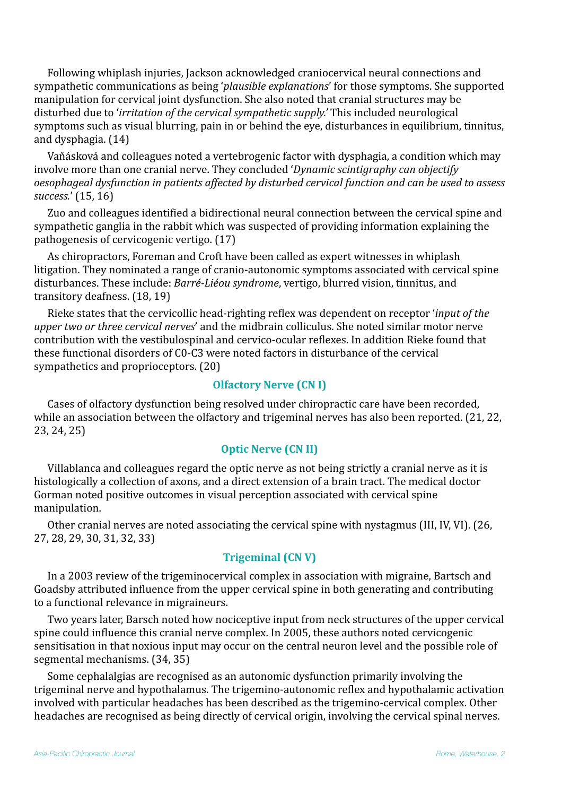Following whiplash injuries, Jackson acknowledged craniocervical neural connections and sympathetic communications as being '*plausible explanations*' for those symptoms. She supported manipulation for cervical ioint dysfunction. She also noted that cranial structures may be disturbed due to '*irritation of the cervical sympathetic supply*.' This included neurological symptoms such as visual blurring, pain in or behind the eye, disturbances in equilibrium, tinnitus, and dysphagia. (14)

Vaňásková and colleagues noted a vertebrogenic factor with dysphagia, a condition which may involve more than one cranial nerve. They concluded *'Dynamic scintigraphy can objectify oesophageal dysfunction in patients affected by disturbed cervical function and can be used to assess* success.'  $(15, 16)$ 

Zuo and colleagues identified a bidirectional neural connection between the cervical spine and sympathetic ganglia in the rabbit which was suspected of providing information explaining the pathogenesis of cervicogenic vertigo.  $(17)$ 

As chiropractors, Foreman and Croft have been called as expert witnesses in whiplash litigation. They nominated a range of cranio-autonomic symptoms associated with cervical spine disturbances. These include: *Barré-Liéou syndrome*, vertigo, blurred vision, tinnitus, and transitory deafness. (18, 19)

Rieke states that the cervicollic head-righting reflex was dependent on receptor '*input of the* upper two or three cervical nerves' and the midbrain colliculus. She noted similar motor nerve contribution with the vestibulospinal and cervico-ocular reflexes. In addition Rieke found that these functional disorders of C0-C3 were noted factors in disturbance of the cervical sympathetics and proprioceptors. (20)

### **Olfactory Nerve (CN I)**

Cases of olfactory dysfunction being resolved under chiropractic care have been recorded, while an association between the olfactory and trigeminal nerves has also been reported. (21, 22, 23, 24, 25)

#### **Optic Nerve (CN II)**

Villablanca and colleagues regard the optic nerve as not being strictly a cranial nerve as it is histologically a collection of axons, and a direct extension of a brain tract. The medical doctor Gorman noted positive outcomes in visual perception associated with cervical spine manipulation. 

Other cranial nerves are noted associating the cervical spine with nystagmus (III, IV, VI). (26, 27, 28, 29, 30, 31, 32, 33)

### **Trigeminal (CN V)**

In a 2003 review of the trigeminocervical complex in association with migraine, Bartsch and Goadsby attributed influence from the upper cervical spine in both generating and contributing to a functional relevance in migraineurs.

Two years later, Barsch noted how nociceptive input from neck structures of the upper cervical spine could influence this cranial nerve complex. In 2005, these authors noted cervicogenic sensitisation in that noxious input may occur on the central neuron level and the possible role of segmental mechanisms. (34, 35)

Some cephalalgias are recognised as an autonomic dysfunction primarily involving the trigeminal nerve and hypothalamus. The trigemino-autonomic reflex and hypothalamic activation involved with particular headaches has been described as the trigemino-cervical complex. Other headaches are recognised as being directly of cervical origin, involving the cervical spinal nerves.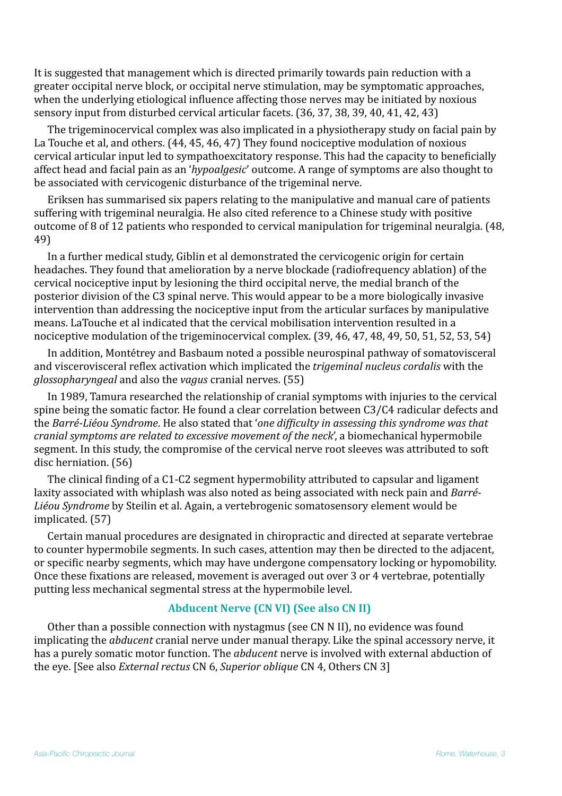It is suggested that management which is directed primarily towards pain reduction with a greater occipital nerve block, or occipital nerve stimulation, may be symptomatic approaches, when the underlying etiological influence affecting those nerves may be initiated by noxious sensory input from disturbed cervical articular facets. (36, 37, 38, 39, 40, 41, 42, 43)

The trigeminocervical complex was also implicated in a physiotherapy study on facial pain by La Touche et al, and others. (44, 45, 46, 47) They found nociceptive modulation of noxious cervical articular input led to sympathoexcitatory response. This had the capacity to beneficially affect head and facial pain as an '*hypoalgesic*' outcome. A range of symptoms are also thought to be associated with cervicogenic disturbance of the trigeminal nerve.

Eriksen has summarised six papers relating to the manipulative and manual care of patients suffering with trigeminal neuralgia. He also cited reference to a Chinese study with positive outcome of 8 of 12 patients who responded to cervical manipulation for trigeminal neuralgia. (48, 49)

In a further medical study, Giblin et al demonstrated the cervicogenic origin for certain headaches. They found that amelioration by a nerve blockade (radiofrequency ablation) of the cervical nociceptive input by lesioning the third occipital nerve, the medial branch of the posterior division of the C3 spinal nerve. This would appear to be a more biologically invasive intervention than addressing the nociceptive input from the articular surfaces by manipulative means. LaTouche et al indicated that the cervical mobilisation intervention resulted in a nociceptive modulation of the trigeminocervical complex.  $(39, 46, 47, 48, 49, 50, 51, 52, 53, 54)$ 

In addition, Montétrey and Basbaum noted a possible neurospinal pathway of somatovisceral and viscerovisceral reflex activation which implicated the *trigeminal nucleus cordalis* with the *glossopharyngeal* and also the *vagus* cranial nerves. (55)

In 1989, Tamura researched the relationship of cranial symptoms with injuries to the cervical spine being the somatic factor. He found a clear correlation between C3/C4 radicular defects and the *Barré-Liéou Syndrome*. He also stated that '*one difficulty in assessing this syndrome was that cranial symptoms are related to excessive movement of the neck'*, a biomechanical hypermobile segment. In this study, the compromise of the cervical nerve root sleeves was attributed to soft disc herniation. (56)

The clinical finding of a C1-C2 segment hypermobility attributed to capsular and ligament laxity associated with whiplash was also noted as being associated with neck pain and *Barré-*Liéou Syndrome by Steilin et al. Again, a vertebrogenic somatosensory element would be implicated. (57)

Certain manual procedures are designated in chiropractic and directed at separate vertebrae to counter hypermobile segments. In such cases, attention may then be directed to the adjacent, or specific nearby segments, which may have undergone compensatory locking or hypomobility. Once these fixations are released, movement is averaged out over 3 or 4 vertebrae, potentially putting less mechanical segmental stress at the hypermobile level.

# **Abducent Nerve (CN VI) (See also CN II)**

Other than a possible connection with nystagmus (see CN N II), no evidence was found implicating the *abducent* cranial nerve under manual therapy. Like the spinal accessory nerve, it has a purely somatic motor function. The *abducent* nerve is involved with external abduction of the eye. [See also *External rectus* CN 6, *Superior oblique* CN 4, Others CN 3]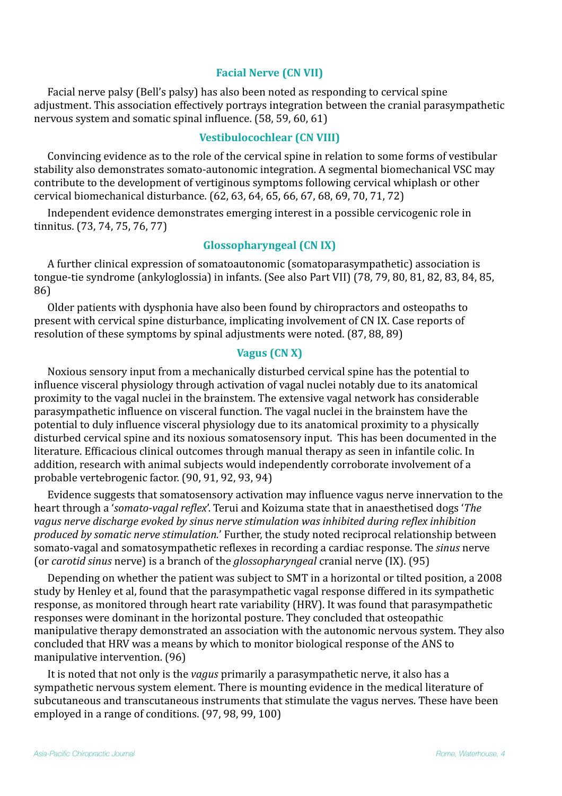# **Facial Nerve (CN VII)**

Facial nerve palsy (Bell's palsy) has also been noted as responding to cervical spine adjustment. This association effectively portrays integration between the cranial parasympathetic nervous system and somatic spinal influence. (58, 59, 60, 61)

#### **Vestibulocochlear (CN VIII)**

Convincing evidence as to the role of the cervical spine in relation to some forms of vestibular stability also demonstrates somato-autonomic integration. A segmental biomechanical VSC may contribute to the development of vertiginous symptoms following cervical whiplash or other cervical biomechanical disturbance. (62, 63, 64, 65, 66, 67, 68, 69, 70, 71, 72)

Independent evidence demonstrates emerging interest in a possible cervicogenic role in tinnitus. (73, 74, 75, 76, 77)

### **Glossopharyngeal (CN IX)**

A further clinical expression of somatoautonomic (somatoparasympathetic) association is tongue-tie syndrome (ankyloglossia) in infants. (See also Part VII) (78, 79, 80, 81, 82, 83, 84, 85, 86)

Older patients with dysphonia have also been found by chiropractors and osteopaths to present with cervical spine disturbance, implicating involvement of CN IX. Case reports of resolution of these symptoms by spinal adjustments were noted. (87, 88, 89)

### **Vagus** (CNX)

Noxious sensory input from a mechanically disturbed cervical spine has the potential to influence visceral physiology through activation of vagal nuclei notably due to its anatomical proximity to the vagal nuclei in the brainstem. The extensive vagal network has considerable parasympathetic influence on visceral function. The vagal nuclei in the brainstem have the potential to duly influence visceral physiology due to its anatomical proximity to a physically disturbed cervical spine and its noxious somatosensory input. This has been documented in the literature. Efficacious clinical outcomes through manual therapy as seen in infantile colic. In addition, research with animal subjects would independently corroborate involvement of a probable vertebrogenic factor. (90, 91, 92, 93, 94)

Evidence suggests that somatosensory activation may influence vagus nerve innervation to the heart through a '*somato-vagal reflex*'. Terui and Koizuma state that in anaesthetised dogs '*The* vagus nerve discharge evoked by sinus nerve stimulation was inhibited during reflex inhibition *produced by somatic nerve stimulation.'* Further, the study noted reciprocal relationship between somato-vagal and somatosympathetic reflexes in recording a cardiac response. The *sinus* nerve (or *carotid sinus* nerve) is a branch of the *glossopharyngeal* cranial nerve (IX). (95)

Depending on whether the patient was subject to SMT in a horizontal or tilted position, a 2008 study by Henley et al, found that the parasympathetic vagal response differed in its sympathetic response, as monitored through heart rate variability (HRV). It was found that parasympathetic responses were dominant in the horizontal posture. They concluded that osteopathic manipulative therapy demonstrated an association with the autonomic nervous system. They also concluded that HRV was a means by which to monitor biological response of the ANS to manipulative intervention. (96)

It is noted that not only is the *vagus* primarily a parasympathetic nerve, it also has a sympathetic nervous system element. There is mounting evidence in the medical literature of subcutaneous and transcutaneous instruments that stimulate the vagus nerves. These have been employed in a range of conditions.  $(97, 98, 99, 100)$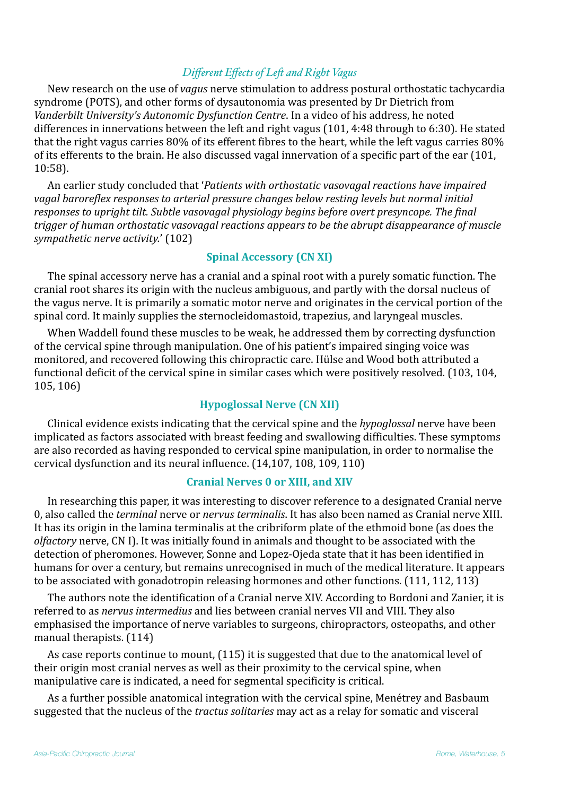# *Different Effects of Left and Right Vagus*

New research on the use of *vagus* nerve stimulation to address postural orthostatic tachycardia syndrome (POTS), and other forms of dysautonomia was presented by Dr Dietrich from *Vanderbilt University's Autonomic Dysfunction Centre*. In a video of his address, he noted differences in innervations between the left and right vagus  $(101, 4:48$  through to 6:30). He stated that the right vagus carries  $80\%$  of its efferent fibres to the heart, while the left vagus carries  $80\%$ of its efferents to the brain. He also discussed vagal innervation of a specific part of the ear (101, 10:58).

An earlier study concluded that '*Patients with orthostatic vasovagal reactions have impaired vagal baroreflex responses to arterial pressure changes below resting levels but normal initial responses to upright tilt. Subtle vasovagal physiology begins before overt presyncope. The final trigger of human orthostatic vasovagal reactions appears to be the abrupt disappearance of muscle sympathetic nerve activity.'* (102)

### **Spinal Accessory (CN XI)**

The spinal accessory nerve has a cranial and a spinal root with a purely somatic function. The cranial root shares its origin with the nucleus ambiguous, and partly with the dorsal nucleus of the vagus nerve. It is primarily a somatic motor nerve and originates in the cervical portion of the spinal cord. It mainly supplies the sternocleidomastoid, trapezius, and laryngeal muscles.

When Waddell found these muscles to be weak, he addressed them by correcting dysfunction of the cervical spine through manipulation. One of his patient's impaired singing voice was monitored, and recovered following this chiropractic care. Hülse and Wood both attributed a functional deficit of the cervical spine in similar cases which were positively resolved. (103, 104, 105, 106)

# **Hypoglossal Nerve (CN XII)**

Clinical evidence exists indicating that the cervical spine and the *hypoglossal* nerve have been implicated as factors associated with breast feeding and swallowing difficulties. These symptoms are also recorded as having responded to cervical spine manipulation, in order to normalise the cervical dysfunction and its neural influence. (14,107, 108, 109, 110)

#### **Cranial Nerves 0 or XIII, and XIV**

In researching this paper, it was interesting to discover reference to a designated Cranial nerve 0, also called the *terminal* nerve or *nervus terminalis*. It has also been named as Cranial nerve XIII. It has its origin in the lamina terminalis at the cribriform plate of the ethmoid bone (as does the *olfactory* nerve, CN I). It was initially found in animals and thought to be associated with the detection of pheromones. However, Sonne and Lopez-Ojeda state that it has been identified in humans for over a century, but remains unrecognised in much of the medical literature. It appears to be associated with gonadotropin releasing hormones and other functions. (111, 112, 113)

The authors note the identification of a Cranial nerve XIV. According to Bordoni and Zanier, it is referred to as *nervus intermedius* and lies between cranial nerves VII and VIII. They also emphasised the importance of nerve variables to surgeons, chiropractors, osteopaths, and other manual therapists.  $(114)$ 

As case reports continue to mount,  $(115)$  it is suggested that due to the anatomical level of their origin most cranial nerves as well as their proximity to the cervical spine, when manipulative care is indicated, a need for segmental specificity is critical.

As a further possible anatomical integration with the cervical spine, Menétrey and Basbaum suggested that the nucleus of the *tractus solitaries* may act as a relay for somatic and visceral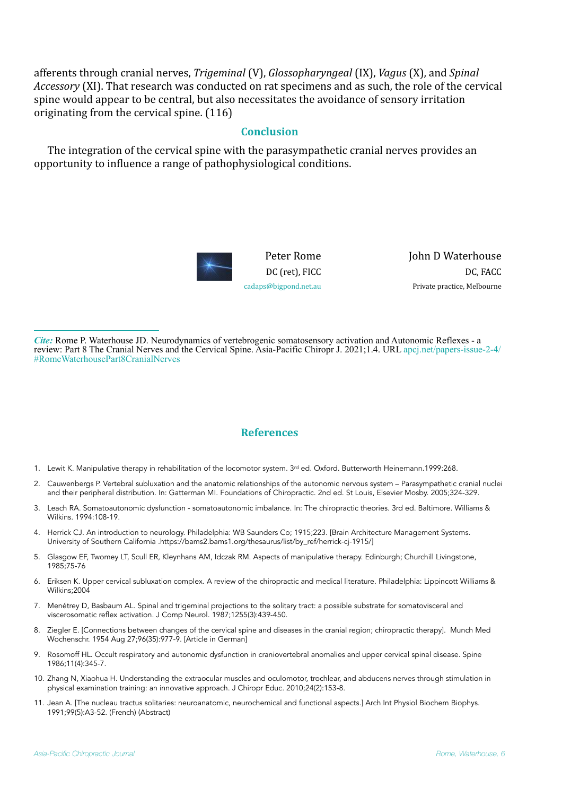afferents through cranial nerves, *Trigeminal* (V), *Glossopharyngeal* (IX), *Vagus* (X), and *Spinal Accessory* (XI). That research was conducted on rat specimens and as such, the role of the cervical spine would appear to be central, but also necessitates the avoidance of sensory irritation originating from the cervical spine.  $(116)$ 

#### **Conclusion**

The integration of the cervical spine with the parasympathetic cranial nerves provides an opportunity to influence a range of pathophysiological conditions.



**John D Waterhouse** DC, FACC Private practice, Melbourne

*Cite:* Rome P. Waterhouse JD. Neurodynamics of vertebrogenic somatosensory activation and Autonomic Reflexes - a review: Part 8 The Cranial Nerves and the Cervical Spine. Asia-Pacific Chiropr J. 2021;1.4. URL [apcj.net/papers-issue-2-4/](http://apcj.net/papers-issue-2-4/#RomeWaterhousePart8CranialNerves) [#RomeWaterhousePart8CranialNerves](http://apcj.net/papers-issue-2-4/#RomeWaterhousePart8CranialNerves)

#### **References**

- 1. Lewit K. Manipulative therapy in rehabilitation of the locomotor system.  $3<sup>rd</sup>$  ed. Oxford. Butterworth Heinemann.1999:268.
- 2. Cauwenbergs P. Vertebral subluxation and the anatomic relationships of the autonomic nervous system Parasympathetic cranial nuclei and their peripheral distribution. In: Gatterman MI. Foundations of Chiropractic. 2nd ed. St Louis, Elsevier Mosby. 2005;324-329.
- 3. Leach RA. Somatoautonomic dysfunction somatoautonomic imbalance. In: The chiropractic theories. 3rd ed. Baltimore. Williams & Wilkins. 1994:108-19.
- 4. Herrick CJ. An introduction to neurology. Philadelphia: WB Saunders Co; 1915;223. [Brain Architecture Management Systems. University of Southern California .https://bams2.bams1.org/thesaurus/list/by\_ref/herrick-cj-1915/]
- 5. Glasgow EF, Twomey LT, Scull ER, Kleynhans AM, Idczak RM. Aspects of manipulative therapy. Edinburgh; Churchill Livingstone, 1985;75-76
- 6. Eriksen K. Upper cervical subluxation complex. A review of the chiropractic and medical literature. Philadelphia: Lippincott Williams & Wilkins;2004
- 7. Menétrey D, Basbaum AL. Spinal and trigeminal projections to the solitary tract: a possible substrate for somatovisceral and viscerosomatic reflex activation. J Comp Neurol. 1987;1255(3):439-450.
- 8. Ziegler E. [Connections between changes of the cervical spine and diseases in the cranial region; chiropractic therapy]. Munch Med Wochenschr. 1954 Aug 27;96(35):977-9. [Article in German]
- 9. Rosomoff HL. Occult respiratory and autonomic dysfunction in craniovertebral anomalies and upper cervical spinal disease. Spine 1986;11(4):345-7.
- 10. Zhang N, Xiaohua H. Understanding the extraocular muscles and oculomotor, trochlear, and abducens nerves through stimulation in physical examination training: an innovative approach. J Chiropr Educ. 2010;24(2):153-8.
- 11. Jean A. [The nucleau tractus solitaries: neuroanatomic, neurochemical and functional aspects.] Arch Int Physiol Biochem Biophys. 1991;99(5):A3-52. (French) (Abstract)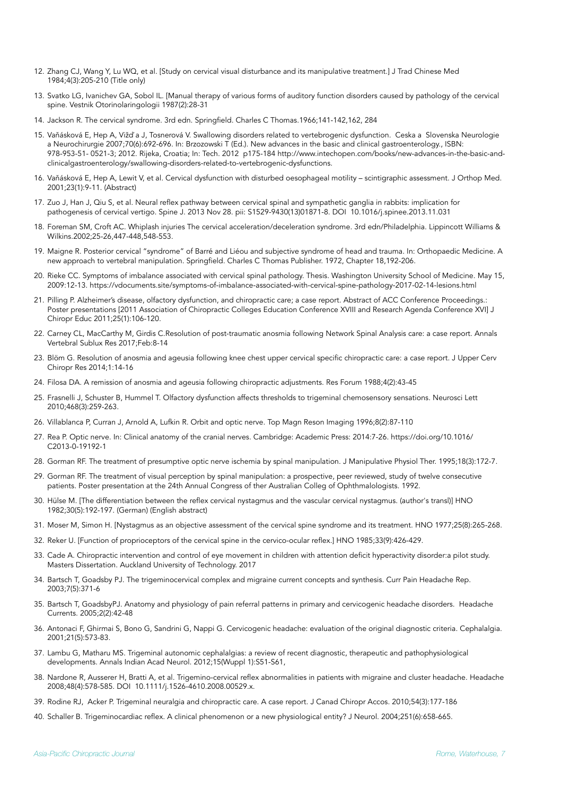- 12. Zhang CJ, Wang Y, Lu WQ, et al. [Study on cervical visual disturbance and its manipulative treatment.] J Trad Chinese Med 1984;4(3):205-210 (Title only)
- 13. Svatko LG, Ivanichev GA, Sobol IL. [Manual therapy of various forms of auditory function disorders caused by pathology of the cervical spine. Vestnik Otorinolaringologii 1987(2):28-31
- 14. Jackson R. The cervical syndrome. 3rd edn. Springfield. Charles C Thomas.1966;141-142,162, 284
- 15. Vaňásková E, Hep A, Vižď a J, Tosnerová V. Swallowing disorders related to vertebrogenic dysfunction. Ceska a Slovenska Neurologie a Neurochirurgie 2007;70(6):692-696. In: Brzozowski T (Ed.). New advances in the basic and clinical gastroenterology., ISBN: [978-953-51- 0521-3; 2012. Rijeka, Croatia; In: Tech. 2012 p175-184 http://www.intechopen.com/books/new-advances-in-the-basic-and](http://www.intechopen.com/books/new-advances-in-the-basic-and-clinicalgastroenterology/swallowing-disorders-related-to-vertebrogenic-dysfunctions)[clinicalgastroenterology/swallowing-disorders-related-to-vertebrogenic-dysfunctions.](http://www.intechopen.com/books/new-advances-in-the-basic-and-clinicalgastroenterology/swallowing-disorders-related-to-vertebrogenic-dysfunctions)
- 16. Vaňásková E, Hep A, Lewit V, et al. Cervical dysfunction with disturbed oesophageal motility scintigraphic assessment. J Orthop Med. 2001;23(1):9-11. (Abstract)
- 17. Zuo J, Han J, Qiu S, et al. Neural reflex pathway between cervical spinal and sympathetic ganglia in rabbits: implication for pathogenesis of cervical vertigo. [Spine J.](http://www.ncbi.nlm.nih.gov/pubmed?term=2013%255Bpdat%255D+AND+zuo%255Bauthor%255D+AND+Neural+reflex+pathway+between+cervical+spinal+and+sympathetic+&TransSchema=title&cmd=detailssearch) 2013 Nov 28. pii: S1529-9430(13)01871-8. DOI 10.1016/j.spinee.2013.11.031
- 18. Foreman SM, Croft AC. Whiplash injuries The cervical acceleration/deceleration syndrome. 3rd edn/Philadelphia. Lippincott Williams & Wilkins.2002;25-26,447-448,548-553.
- 19. Maigne R. Posterior cervical "syndrome" of Barré and Liéou and subjective syndrome of head and trauma. In: Orthopaedic Medicine. A new approach to vertebral manipulation. Springfield. Charles C Thomas Publisher. 1972, Chapter 18,192-206.
- 20. Rieke CC. Symptoms of imbalance associated with cervical spinal pathology. Thesis. Washington University School of Medicine. May 15, 2009:12-13. https://vdocuments.site/symptoms-of-imbalance-associated-with-cervical-spine-pathology-2017-02-14-lesions.html
- 21. Pilling P. Alzheimer's disease, olfactory dysfunction, and chiropractic care; a case report. Abstract of ACC Conference Proceedings.: Poster presentations [2011 Association of Chiropractic Colleges Education Conference XVIII and Research Agenda Conference XVI] J Chiropr Educ 2011;25(1):106-120.
- 22. Carney CL, MacCarthy M, Girdis C.Resolution of post-traumatic anosmia following Network Spinal Analysis care: a case report. Annals Vertebral Sublux Res 2017;Feb:8-14
- 23. Blöm G. Resolution of anosmia and ageusia following knee chest upper cervical specific chiropractic care: a case report. J Upper Cerv Chiropr Res 2014;1:14-16
- 24. Filosa DA. A remission of anosmia and ageusia following chiropractic adjustments. Res Forum 1988;4(2):43-45
- 25. Frasnelli J, Schuster B, Hummel T. Olfactory dysfunction affects thresholds to trigeminal chemosensory sensations. Neurosci Lett 2010;468(3):259-263.
- 26. Villablanca P, Curran J, Arnold A, Lufkin R. Orbit and optic nerve. Top Magn Reson Imaging 1996;8(2):87-110
- 27. Rea P. Optic nerve. In: Clinical anatomy of the cranial nerves. Cambridge: Academic Press: 2014:7-26. [https://doi.org/10.1016/](https://doi.org/10.1016/C2013-0-19192-1) [C2013-0-19192-1](https://doi.org/10.1016/C2013-0-19192-1)
- 28. Gorman RF. The treatment of presumptive optic nerve ischemia by spinal manipulation. J Manipulative Physiol Ther. 1995;18(3):172-7.
- 29. Gorman RF. The treatment of visual perception by spinal manipulation: a prospective, peer reviewed, study of twelve consecutive patients. Poster presentation at the 24th Annual Congress of ther Australian Colleg of Ophthmalologists. 1992.
- 30. Hülse M. [The differentiation between the reflex cervical nystagmus and the vascular cervical nystagmus. (author's transl)] HNO 1982;30(5):192-197. (German) (English abstract)
- 31. Moser M, Simon H. [Nystagmus as an objective assessment of the cervical spine syndrome and its treatment. HNO 1977;25(8):265-268.
- 32. Reker U. [Function of proprioceptors of the cervical spine in the cervico-ocular reflex.] HNO 1985;33(9):426-429.
- 33. Cade A. Chiropractic intervention and control of eye movement in children with attention deficit hyperactivity disorder:a pilot study. Masters Dissertation. Auckland University of Technology. 2017
- 34. Bartsch T, Goadsby PJ. The trigeminocervical complex and migraine current concepts and synthesis. Curr Pain Headache Rep. 2003;7(5):371-6
- 35. Bartsch T, GoadsbyPJ. Anatomy and physiology of pain referral patterns in primary and cervicogenic headache disorders. Headache Currents. 2005;2(2):42-48
- 36. Antonaci F, Ghirmai S, Bono G, Sandrini G, Nappi G. Cervicogenic headache: evaluation of the original diagnostic criteria. Cephalalgia. 2001;21(5):573-83.
- 37. Lambu G, Matharu MS. Trigeminal autonomic cephalalgias: a review of recent diagnostic, therapeutic and pathophysiological developments. Annals Indian Acad Neurol. 2012;15(Wuppl 1):S51-S61,
- 38. Nardone R, Ausserer H, Bratti A, et al. Trigemino-cervical reflex abnormalities in patients with migraine and cluster headache. Headache 2008;48(4):578-585. DOI 10.1111/j.1526-4610.2008.00529.x.
- 39. Rodine RJ, Acker P. Trigeminal neuralgia and chiropractic care. A case report. J Canad Chiropr Accos. 2010;54(3):177-186
- 40. Schaller B. Trigeminocardiac reflex. A clinical phenomenon or a new physiological entity? J Neurol. 2004;251(6):658-665.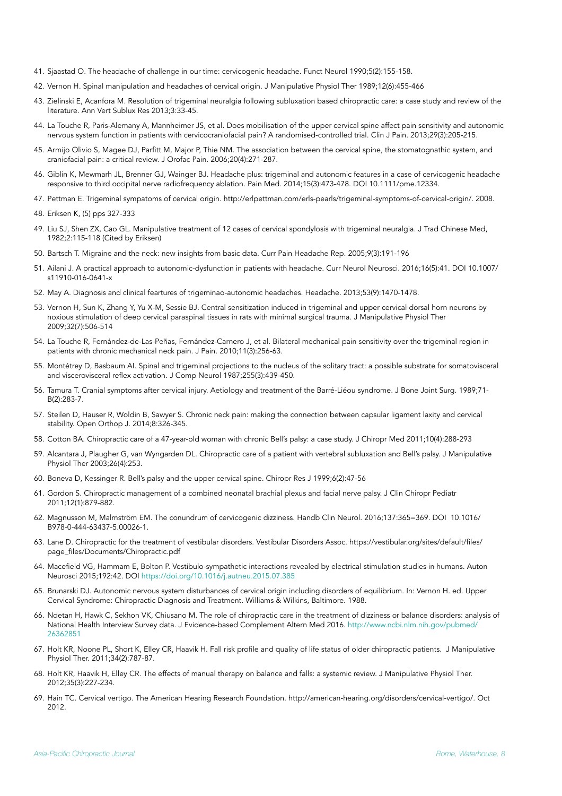- 41. Sjaastad O. The headache of challenge in our time: cervicogenic headache. Funct Neurol 1990;5(2):155-158.
- 42. Vernon H. Spinal manipulation and headaches of cervical origin. J Manipulative Physiol Ther 1989;12(6):455-466
- 43. Zielinski E, Acanfora M. Resolution of trigeminal neuralgia following subluxation based chiropractic care: a case study and review of the literature. Ann Vert Sublux Res 2013;3:33-45.
- 44. La Touche R, Paris-Alemany A, Mannheimer JS, et al. Does mobilisation of the upper cervical spine affect pain sensitivity and autonomic nervous system function in patients with cervicocraniofacial pain? A randomised-controlled trial. Clin J Pain. 2013;29(3):205-215.
- 45. Armijo Olivio S, Magee DJ, Parfitt M, Major P, Thie NM. The association between the cervical spine, the stomatognathic system, and craniofacial pain: a critical review. J Orofac Pain. 2006;20(4):271-287.
- 46. Giblin K, Mewmarh JL, Brenner GJ, Wainger BJ. Headache plus: trigeminal and autonomic features in a case of cervicogenic headache responsive to third occipital nerve radiofrequency ablation. Pain Med. 2014;15(3):473-478. DOI 10.1111/pme.12334.
- 47. Pettman E. Trigeminal sympatoms of cervical origin. http://erlpettman.com/erls-pearls/trigeminal-symptoms-of-cervical-origin/. 2008.
- 48. Eriksen K, (5) pps 327-333
- 49. Liu SJ, Shen ZX, Cao GL. Manipulative treatment of 12 cases of cervical spondylosis with trigeminal neuralgia. J Trad Chinese Med, 1982;2:115-118 (Cited by Eriksen)
- 50. Bartsch T. Migraine and the neck: new insights from basic data. Curr Pain Headache Rep. 2005;9(3):191-196
- 51. Ailani J. A practical approach to autonomic-dysfunction in patients with headache. Curr Neurol Neurosci. 2016;16(5):41. DOI 10.1007/ s11910-016-0641-x
- 52. May A. Diagnosis and clinical feartures of trigeminao-autonomic headaches. Headache. 2013;53(9):1470-1478.
- 53. Vernon H, Sun K, Zhang Y, Yu X-M, Sessie BJ. Central sensitization induced in trigeminal and upper cervical dorsal horn neurons by noxious stimulation of deep cervical paraspinal tissues in rats with minimal surgical trauma. J Manipulative Physiol Ther 2009;32(7):506-514
- 54. La Touche R, Fernández-de-Las-Peñas, Fernández-Carnero J, et al. Bilateral mechanical pain sensitivity over the trigeminal region in patients with chronic mechanical neck pain. J Pain. 2010;11(3):256-63.
- 55. Montétrey D, Basbaum AI. Spinal and trigeminal projections to the nucleus of the solitary tract: a possible substrate for somatovisceral and viscerovisceral reflex activation. J Comp Neurol 1987;255(3):439-450.
- 56. Tamura T. Cranial symptoms after cervical injury. Aetiology and treatment of the Barré-Liéou syndrome. J Bone Joint Surg. 1989;71- B(2):283-7.
- 57. Steilen D, Hauser R, Woldin B, Sawyer S. Chronic neck pain: making the connection between capsular ligament laxity and cervical stability. Open Orthop J. 2014;8:326-345.
- 58. Cotton BA. Chiropractic care of a 47-year-old woman with chronic Bell's palsy: a case study. J Chiropr Med 2011;10(4):288-293
- 59. Alcantara J, Plaugher G, van Wyngarden DL. Chiropractic care of a patient with vertebral subluxation and Bell's palsy. J Manipulative Physiol Ther 2003;26(4):253.
- 60. Boneva D, Kessinger R. Bell's palsy and the upper cervical spine. Chiropr Res J 1999;6(2):47-56
- 61. Gordon S. Chiropractic management of a combined neonatal brachial plexus and facial nerve palsy. J Clin Chiropr Pediatr 2011;12(1):879-882.
- 62. Magnusson M, Malmström EM. The conundrum of cervicogenic dizziness. Handb Clin Neurol. 2016;137:365=369. DOI 10.1016/ B978-0-444-63437-5.00026-1.
- 63. Lane D. Chiropractic for the treatment of vestibular disorders. Vestibular Disorders Assoc. https://vestibular.org/sites/default/files/ page\_files/Documents/Chiropractic.pdf
- 64. Macefield VG, Hammam E, Bolton P. Vestibulo-sympathetic interactions revealed by electrical stimulation studies in humans. Auton Neurosci 2015;192:42. DOI <https://doi.org/10.1016/j.autneu.2015.07.385>
- 65. Brunarski DJ. Autonomic nervous system disturbances of cervical origin including disorders of equilibrium. In: Vernon H. ed. Upper Cervical Syndrome: Chiropractic Diagnosis and Treatment. Williams & Wilkins, Baltimore. 1988.
- 66. Ndetan H, Hawk C, Sekhon VK, Chiusano M. The role of chiropractic care in the treatment of dizziness or balance disorders: analysis of National Health Interview Survey data. J Evidence-based Complement Altern Med 2016. [http://www.ncbi.nlm.nih.gov/pubmed/](http://www.ncbi.nlm.nih.gov/pubmed/26362851) [26362851](http://www.ncbi.nlm.nih.gov/pubmed/26362851)
- 67. Holt KR, Noone PL, Short K, Elley CR, Haavik H. Fall risk profile and quality of life status of older chiropractic patients. J Manipulative Physiol Ther. 2011;34(2):787-87.
- 68. Holt KR, Haavik H, Elley CR. The effects of manual therapy on balance and falls: a systemic review. J Manipulative Physiol Ther. 2012;35(3):227-234.
- 69. Hain TC. Cervical vertigo. The American Hearing Research Foundation. http://american-hearing.org/disorders/cervical-vertigo/. Oct 2012.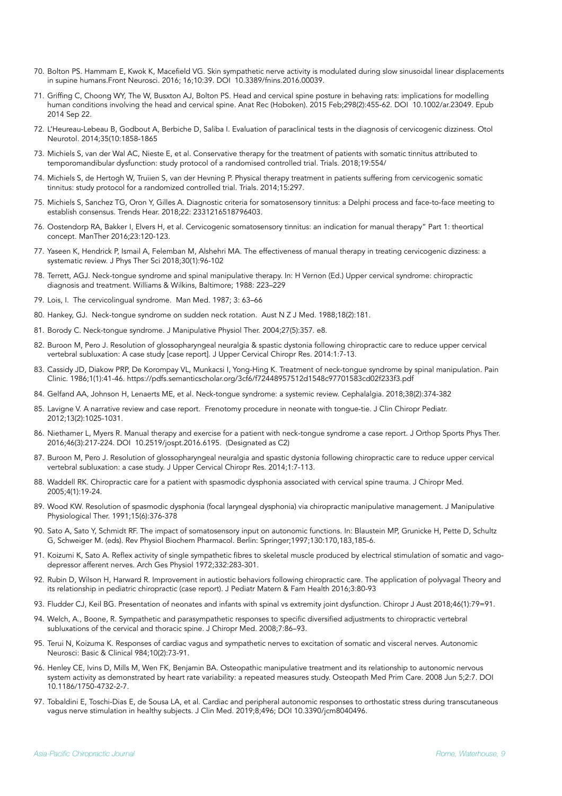- 70. Bolton PS. Hammam E, Kwok K, Macefield VG. Skin sympathetic nerve activity is modulated during slow sinusoidal linear displacements in supine humans.Front Neurosci. 2016; 16;10:39. DOI 10.3389/fnins.2016.00039.
- 71. Griffing C, Choong WY, The W, Busxton AJ, Bolton PS. Head and cervical spine posture in behaving rats: implications for modelling human conditions involving the head and cervical spine. Anat Rec (Hoboken). 2015 Feb;298(2):455-62. DOI 10.1002/ar.23049. Epub 2014 Sep 22.
- 72. L'Heureau-Lebeau B, Godbout A, Berbiche D, Saliba I. Evaluation of paraclinical tests in the diagnosis of cervicogenic dizziness. Otol Neurotol. 2014;35(10:1858-1865
- 73. Michiels S, van der Wal AC, Nieste E, et al. Conservative therapy for the treatment of patients with somatic tinnitus attributed to temporomandibular dysfunction: study protocol of a randomised controlled trial. Trials. 2018;19:554/
- 74. Michiels S, de Hertogh W, Truiien S, van der Hevning P. Physical therapy treatment in patients suffering from cervicogenic somatic tinnitus: study protocol for a randomized controlled trial. Trials. 2014;15:297.
- 75. Michiels S, Sanchez TG, Oron Y, Gilles A. Diagnostic criteria for somatosensory tinnitus: a Delphi process and face-to-face meeting to establish consensus. Trends Hear. 2018;22: 2331216518796403.
- 76. Oostendorp RA, Bakker I, Elvers H, et al. Cervicogenic somatosensory tinnitus: an indication for manual therapy" Part 1: theortical concept. ManTher 2016;23:120-123.
- 77. Yaseen K, Hendrick P, Ismail A, Felemban M, Alshehri MA. The effectiveness of manual therapy in treating cervicogenic dizziness: a systematic review. J Phys Ther Sci 2018;30(1):96-102
- 78. Terrett, AGJ. Neck-tongue syndrome and spinal manipulative therapy. In: H Vernon (Ed.) Upper cervical syndrome: chiropractic diagnosis and treatment. Williams & Wilkins, Baltimore; 1988: 223–229
- 79. Lois, I. The cervicolingual syndrome. Man Med. 1987; 3: 63–66
- 80. Hankey, GJ. Neck-tongue syndrome on sudden neck rotation. Aust N Z J Med. 1988;18(2):181.
- 81. Borody C. Neck-tongue syndrome. J Manipulative Physiol Ther. 2004;27(5):357. e8.
- 82. Buroon M, Pero J. Resolution of glossopharyngeal neuralgia & spastic dystonia following chiropractic care to reduce upper cervical vertebral subluxation: A case study [case report]. J Upper Cervical Chiropr Res. 2014:1:7-13.
- 83. Cassidy JD, Diakow PRP, De Korompay VL, Munkacsi I, Yong-Hing K. Treatment of neck-tongue syndrome by spinal manipulation. Pain Clinic. 1986;1(1):41-46. https://pdfs.semanticscholar.org/3cf6/f72448957512d1548c97701583cd02f233f3.pdf
- 84. Gelfand AA, Johnson H, Lenaerts ME, et al. Neck-tongue syndrome: a systemic review. Cephalalgia. 2018;38(2):374-382
- 85. Lavigne V. A narrative review and case report. Frenotomy procedure in neonate with tongue-tie. J Clin Chiropr Pediatr. 2012;13(2):1025-1031.
- 86. Niethamer L, Myers R. Manual therapy and exercise for a patient with neck-tongue syndrome a case report. J Orthop Sports Phys Ther. 2016;46(3):217-224. DOI 10.2519/jospt.2016.6195. (Designated as C2)
- 87. Buroon M, Pero J. Resolution of glossopharyngeal neuralgia and spastic dystonia following chiropractic care to reduce upper cervical vertebral subluxation: a case study. J Upper Cervical Chiropr Res. 2014;1:7-113.
- 88. Waddell RK. Chiropractic care for a patient with spasmodic dysphonia associated with cervical spine trauma. J Chiropr Med. 2005;4(1):19-24.
- 89. Wood KW. Resolution of spasmodic dysphonia (focal laryngeal dysphonia) via chiropractic manipulative management. J Manipulative Physiological Ther. 1991;15(6):376-378
- 90. Sato A, Sato Y, Schmidt RF. The impact of somatosensory input on autonomic functions. In: Blaustein MP, Grunicke H, Pette D, Schultz G, Schweiger M. (eds). Rev Physiol Biochem Pharmacol. Berlin: Springer;1997;130:170,183,185-6.
- 91. Koizumi K, Sato A. Reflex activity of single sympathetic fibres to skeletal muscle produced by electrical stimulation of somatic and vagodepressor afferent nerves. Arch Ges Physiol 1972;332:283-301.
- 92. Rubin D, Wilson H, Harward R. Improvement in autiostic behaviors following chiropractic care. The application of polyvagal Theory and its relationship in pediatric chiropractic (case report). J Pediatr Matern & Fam Health 2016;3:80-93
- 93. Fludder CJ, Keil BG. Presentation of neonates and infants with spinal vs extremity joint dysfunction. Chiropr J Aust 2018;46(1):79=91.
- 94. Welch, A., Boone, R. Sympathetic and parasympathetic responses to specific diversified adjustments to chiropractic vertebral subluxations of the cervical and thoracic spine. J Chiropr Med. 2008;7:86–93.
- 95. Terui N, Koizuma K. Responses of cardiac vagus and sympathetic nerves to excitation of somatic and visceral nerves. Autonomic Neurosci: Basic & Clinical 984;10(2):73-91.
- 96. [Henley CE,](https://www.ncbi.nlm.nih.gov/pubmed/?term=Henley%2520CE%255BAuthor%255D&cauthor=true&cauthor_uid=18534024) [Ivins D](https://www.ncbi.nlm.nih.gov/pubmed/?term=Ivins%2520D%255BAuthor%255D&cauthor=true&cauthor_uid=18534024), [Mills M](https://www.ncbi.nlm.nih.gov/pubmed/?term=Mills%2520M%255BAuthor%255D&cauthor=true&cauthor_uid=18534024), [Wen FK,](https://www.ncbi.nlm.nih.gov/pubmed/?term=Wen%2520FK%255BAuthor%255D&cauthor=true&cauthor_uid=18534024) [Benjamin BA.](https://www.ncbi.nlm.nih.gov/pubmed/?term=Benjamin%2520BA%255BAuthor%255D&cauthor=true&cauthor_uid=18534024) Osteopathic manipulative treatment and its relationship to autonomic nervous system activity as demonstrated by heart rate variability: a repeated measures study. [Osteopath Med Prim Care.](https://www.ncbi.nlm.nih.gov/pubmed?term=Osteopathic+medicine+and+primary+care%255BJour%255D+AND+2008%255Bpdat%255D+AND+Henley%255Bauthor%255D&cmd=detailssearch) 2008 Jun 5;2:7. DOI 10.1186/1750-4732-2-7.
- 97. Tobaldini E, Toschi-Dias E, de Sousa LA, et al. Cardiac and peripheral autonomic responses to orthostatic stress during transcutaneous vagus nerve stimulation in healthy subjects. J Clin Med. 2019;8;496; DOI 10.3390/jcm8040496.